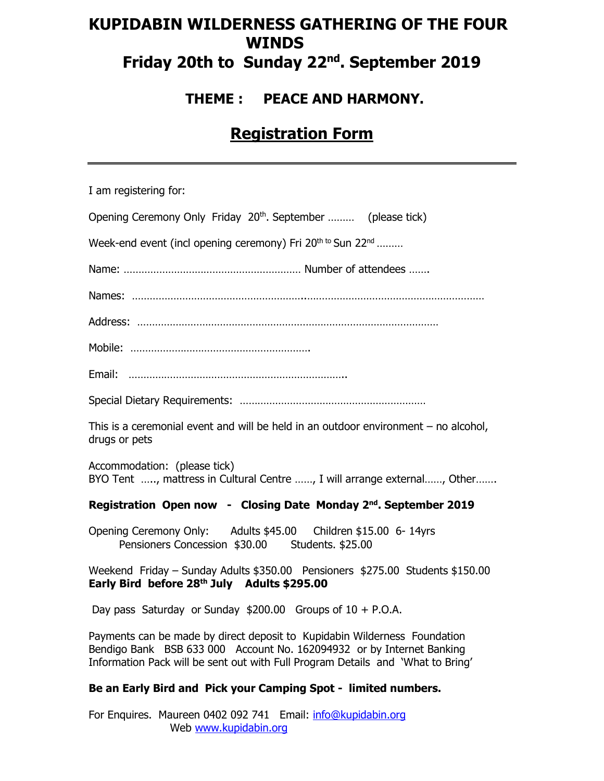# **KUPIDABIN WILDERNESS GATHERING OF THE FOUR WINDS Friday 20th to Sunday 22nd. September 2019**

## **THEME : PEACE AND HARMONY.**

# **Registration Form**

| I am registering for:                                                                                                                                                                                                                 |
|---------------------------------------------------------------------------------------------------------------------------------------------------------------------------------------------------------------------------------------|
| Opening Ceremony Only Friday 20 <sup>th</sup> . September  (please tick)                                                                                                                                                              |
| Week-end event (incl opening ceremony) Fri 20 <sup>th to</sup> Sun 22 <sup>nd</sup>                                                                                                                                                   |
|                                                                                                                                                                                                                                       |
|                                                                                                                                                                                                                                       |
|                                                                                                                                                                                                                                       |
|                                                                                                                                                                                                                                       |
|                                                                                                                                                                                                                                       |
|                                                                                                                                                                                                                                       |
| This is a ceremonial event and will be held in an outdoor environment $-$ no alcohol,<br>drugs or pets                                                                                                                                |
| Accommodation: (please tick)<br>BYO Tent , mattress in Cultural Centre , I will arrange external, Other                                                                                                                               |
| Registration Open now - Closing Date Monday 2 <sup>nd</sup> . September 2019                                                                                                                                                          |
| Opening Ceremony Only: Adults \$45.00 Children \$15.00 6-14yrs<br>Pensioners Concession \$30.00 Students. \$25.00                                                                                                                     |
| Weekend Friday - Sunday Adults \$350.00 Pensioners \$275.00 Students \$150.00<br>Early Bird before 28th July Adults \$295.00                                                                                                          |
| Day pass Saturday or Sunday $$200.00$ Groups of $10 + P.O.A.$                                                                                                                                                                         |
| Payments can be made by direct deposit to Kupidabin Wilderness Foundation<br>Bendigo Bank BSB 633 000 Account No. 162094932 or by Internet Banking<br>Information Pack will be sent out with Full Program Details and 'What to Bring' |
| Be an Early Bird and Pick your Camping Spot - limited numbers.                                                                                                                                                                        |

For Enquires. Maureen 0402 092 741 Email: [info@kupidabin.org](mailto:info@kupidabin.org) Web [www.kupidabin.org](http://www.kupidabin.org/)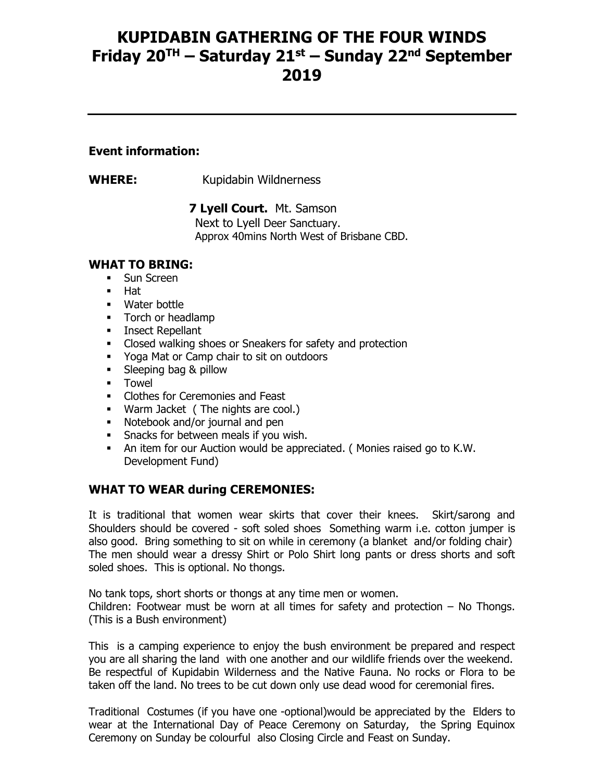## **KUPIDABIN GATHERING OF THE FOUR WINDS Friday 20TH – Saturday 21st – Sunday 22nd September 2019**

### **Event information:**

**WHERE:** Kupidabin Wildnerness

 **7 Lyell Court.** Mt. Samson

Next to Lyell Deer Sanctuary. Approx 40mins North West of Brisbane CBD.

### **WHAT TO BRING:**

- **•** Sun Screen
- Hat
- Water bottle
- **•** Torch or headlamp
- **■** Insect Repellant
- Closed walking shoes or Sneakers for safety and protection
- Yoga Mat or Camp chair to sit on outdoors
- **Example 3** Sleeping bag & pillow
- Towel
- Clothes for Ceremonies and Feast
- Warm Jacket ( The nights are cool.)
- Notebook and/or journal and pen
- **Snacks for between meals if you wish.**
- An item for our Auction would be appreciated. ( Monies raised go to K.W. Development Fund)

## **WHAT TO WEAR during CEREMONIES:**

It is traditional that women wear skirts that cover their knees. Skirt/sarong and Shoulders should be covered - soft soled shoes Something warm i.e. cotton jumper is also good. Bring something to sit on while in ceremony (a blanket and/or folding chair) The men should wear a dressy Shirt or Polo Shirt long pants or dress shorts and soft soled shoes. This is optional. No thongs.

No tank tops, short shorts or thongs at any time men or women. Children: Footwear must be worn at all times for safety and protection – No Thongs. (This is a Bush environment)

This is a camping experience to enjoy the bush environment be prepared and respect you are all sharing the land with one another and our wildlife friends over the weekend. Be respectful of Kupidabin Wilderness and the Native Fauna. No rocks or Flora to be taken off the land. No trees to be cut down only use dead wood for ceremonial fires.

Traditional Costumes (if you have one -optional)would be appreciated by the Elders to wear at the International Day of Peace Ceremony on Saturday, the Spring Equinox Ceremony on Sunday be colourful also Closing Circle and Feast on Sunday.